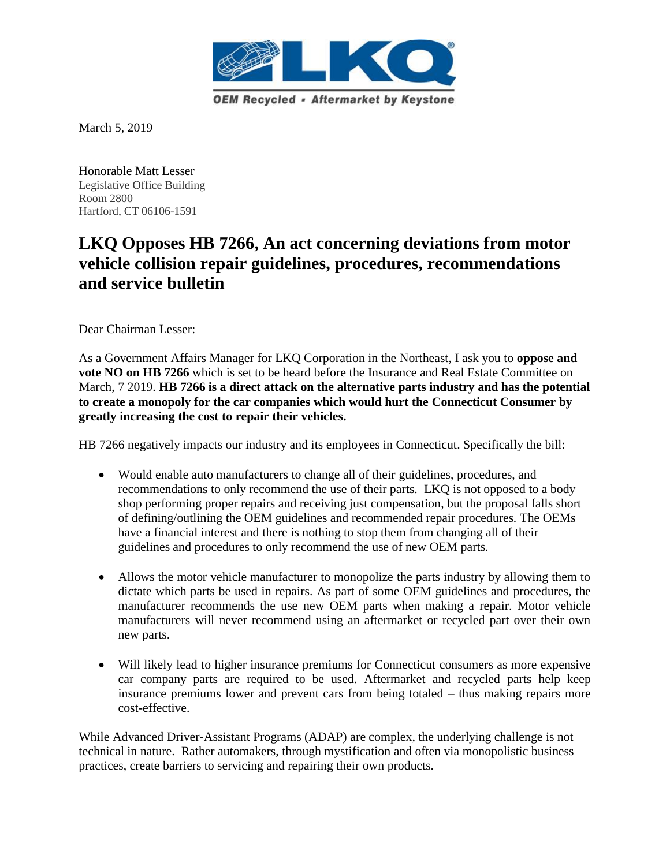

March 5, 2019

Honorable Matt Lesser Legislative Office Building Room 2800 Hartford, CT 06106-1591

## **LKQ Opposes HB 7266, An act concerning deviations from motor vehicle collision repair guidelines, procedures, recommendations and service bulletin**

Dear Chairman Lesser:

As a Government Affairs Manager for LKQ Corporation in the Northeast, I ask you to **oppose and vote NO** on HB 7266 which is set to be heard before the Insurance and Real Estate Committee on March, 7 2019. **HB 7266 is a direct attack on the alternative parts industry and has the potential to create a monopoly for the car companies which would hurt the Connecticut Consumer by greatly increasing the cost to repair their vehicles.** 

HB 7266 negatively impacts our industry and its employees in Connecticut. Specifically the bill:

- Would enable auto manufacturers to change all of their guidelines, procedures, and recommendations to only recommend the use of their parts. LKQ is not opposed to a body shop performing proper repairs and receiving just compensation, but the proposal falls short of defining/outlining the OEM guidelines and recommended repair procedures*.* The OEMs have a financial interest and there is nothing to stop them from changing all of their guidelines and procedures to only recommend the use of new OEM parts.
- Allows the motor vehicle manufacturer to monopolize the parts industry by allowing them to dictate which parts be used in repairs. As part of some OEM guidelines and procedures, the manufacturer recommends the use new OEM parts when making a repair. Motor vehicle manufacturers will never recommend using an aftermarket or recycled part over their own new parts.
- Will likely lead to higher insurance premiums for Connecticut consumers as more expensive car company parts are required to be used. Aftermarket and recycled parts help keep insurance premiums lower and prevent cars from being totaled – thus making repairs more cost-effective.

While Advanced Driver-Assistant Programs (ADAP) are complex, the underlying challenge is not technical in nature. Rather automakers, through mystification and often via monopolistic business practices, create barriers to servicing and repairing their own products.